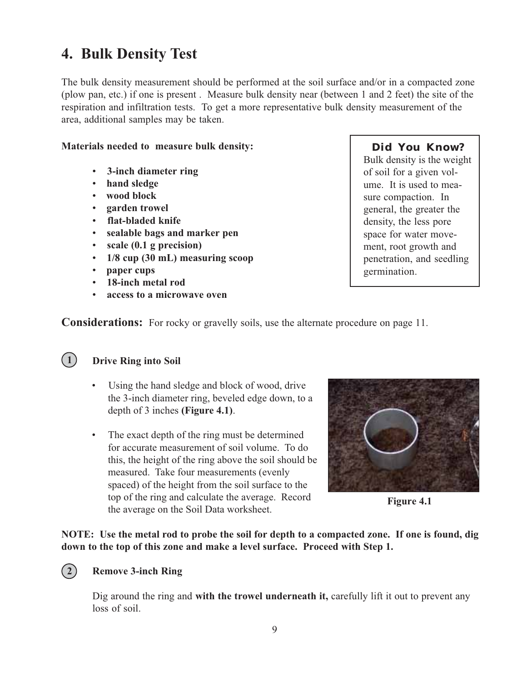## **4. Bulk Density Test**

The bulk density measurement should be performed at the soil surface and/or in a compacted zone (plow pan, etc.) if one is present . Measure bulk density near (between 1 and 2 feet) the site of the respiration and infiltration tests. To get a more representative bulk density measurement of the area, additional samples may be taken.

### **Materials needed to measure bulk density:**

- -**3-inch diameter ring**
- -**hand sledge**
- -**wood block**
- -**garden trowel**
- -**flat-bladed knife**
- -**sealable bags and marker pen**
- -**scale (0.1 g precision)**
- -**1/8 cup (30 mL) measuring scoop**
- -**paper cups**
- -**18-inch metal rod**
- -**access to a microwave oven**

### **Did You Know?**

Bulk density is the weight of soil for a given volume. It is used to measure compaction. In general, the greater the density, the less pore space for water movement, root growth and penetration, and seedling germination.

**Considerations:** For rocky or gravelly soils, use the alternate procedure on page 11.

### **Drive Ring into Soil**

- Using the hand sledge and block of wood, drive the 3-inch diameter ring, beveled edge down, to a depth of 3 inches **(Figure 4.1)**.
- The exact depth of the ring must be determined for accurate measurement of soil volume. To do this, the height of the ring above the soil should be measured. Take four measurements (evenly spaced) of the height from the soil surface to the top of the ring and calculate the average. Record the average on the Soil Data worksheet.



**Figure 4.1**

**NOTE: Use the metal rod to probe the soil for depth to a compacted zone. If one is found, dig down to the top of this zone and make a level surface. Proceed with Step 1.**

## **2**

 $(1)$ 

### **Remove 3-inch Ring**

Dig around the ring and **with the trowel underneath it,** carefully lift it out to prevent any loss of soil.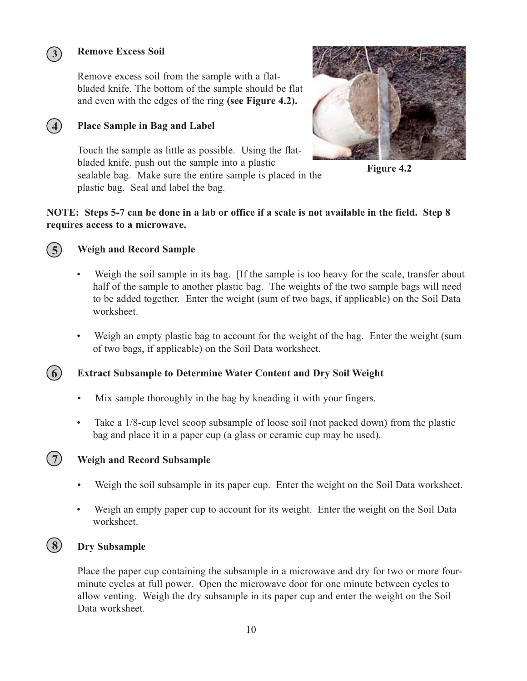### **Remove Excess Soil**

Remove excess soil from the sample with a flatbladed knife. The bottom of the sample should be flat and even with the edges of the ring **(see Figure 4.2).**

### **Place Sample in Bag and Label**

Touch the sample as little as possible. Using the flatbladed knife, push out the sample into a plastic sealable bag. Make sure the entire sample is placed in the plastic bag. Seal and label the bag.



**Figure 4.2**

### **NOTE: Steps 5-7 can be done in a lab or office if a scale is not available in the field. Step 8 requires access to a microwave.**



**4**

**3**

### **Weigh and Record Sample**

- Weigh the soil sample in its bag. [If the sample is too heavy for the scale, transfer about half of the sample to another plastic bag. The weights of the two sample bags will need to be added together. Enter the weight (sum of two bags, if applicable) on the Soil Data worksheet.
- Weigh an empty plastic bag to account for the weight of the bag. Enter the weight (sum of two bags, if applicable) on the Soil Data worksheet.

#### **Extract Subsample to Determine Water Content and Dry Soil Weight 6**

- Mix sample thoroughly in the bag by kneading it with your fingers.
- Take a 1/8-cup level scoop subsample of loose soil (not packed down) from the plastic bag and place it in a paper cup (a glass or ceramic cup may be used).



### **Weigh and Record Subsample**

- -Weigh the soil subsample in its paper cup. Enter the weight on the Soil Data worksheet.
- $\bullet$ Weigh an empty paper cup to account for its weight. Enter the weight on the Soil Data worksheet.

### **Dry Subsample 8**

Place the paper cup containing the subsample in a microwave and dry for two or more fourminute cycles at full power. Open the microwave door for one minute between cycles to allow venting. Weigh the dry subsample in its paper cup and enter the weight on the Soil Data worksheet.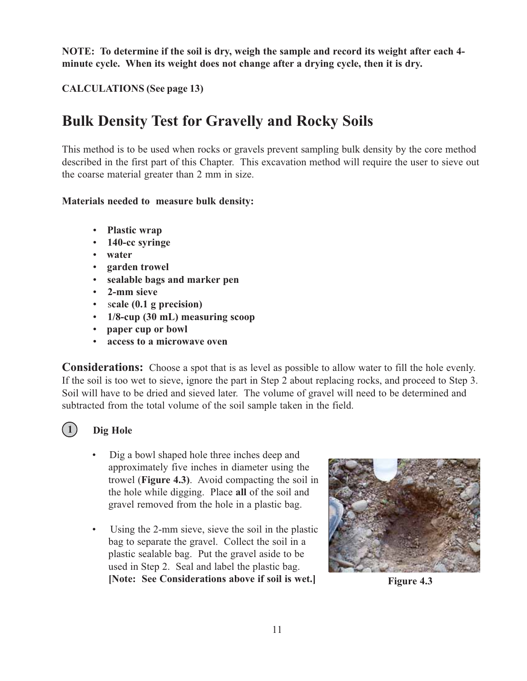**NOTE: To determine if the soil is dry, weigh the sample and record its weight after each 4 minute cycle. When its weight does not change after a drying cycle, then it is dry.**

**CALCULATIONS (See page 13)**

# **Bulk Density Test for Gravelly and Rocky Soils**

This method is to be used when rocks or gravels prevent sampling bulk density by the core method described in the first part of this Chapter. This excavation method will require the user to sieve out the coarse material greater than 2 mm in size.

### **Materials needed to measure bulk density:**

- -**Plastic wrap**
- -**140-cc syringe**
- -**water**
- -**garden trowel**
- -**sealable bags and marker pen**
- -**2-mm sieve**
- -**cale (0.1 g precision)**
- -**1/8-cup (30 mL) measuring scoop**
- -**paper cup or bowl**
- -**access to a microwave oven**

**Considerations:** Choose a spot that is as level as possible to allow water to fill the hole evenly. If the soil is too wet to sieve, ignore the part in Step 2 about replacing rocks, and proceed to Step 3. Soil will have to be dried and sieved later. The volume of gravel will need to be determined and subtracted from the total volume of the soil sample taken in the field.



## **Dig Hole**

- Dig a bowl shaped hole three inches deep and approximately five inches in diameter using the trowel (**Figure 4.3)**. Avoid compacting the soil in the hole while digging. Place **all** of the soil and gravel removed from the hole in a plastic bag.
- Using the 2-mm sieve, sieve the soil in the plastic bag to separate the gravel. Collect the soil in a plastic sealable bag. Put the gravel aside to be used in Step 2. Seal and label the plastic bag. **[Note: See Considerations above if soil is wet.]**



**Figure 4.3**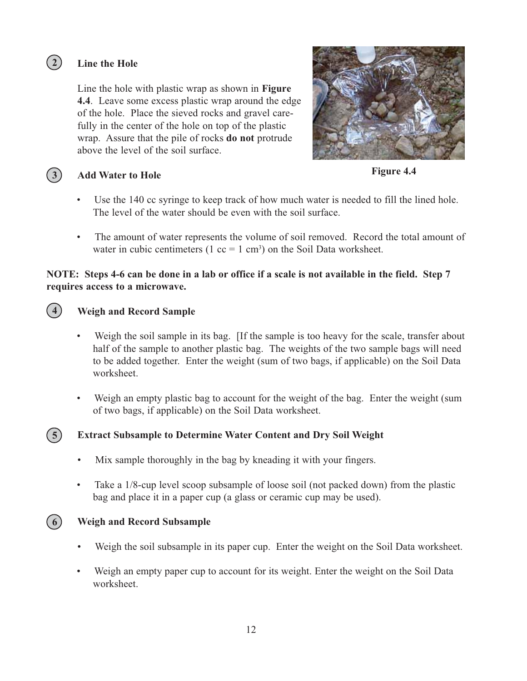## **Line the Hole**

Line the hole with plastic wrap as shown in **Figure 4.4**. Leave some excess plastic wrap around the edge of the hole. Place the sieved rocks and gravel carefully in the center of the hole on top of the plastic wrap. Assure that the pile of rocks **do not** protrude above the level of the soil surface.



**3**

**2**

**4**

### **Add Water to Hole**

**Figure 4.4**

- Use the 140 cc syringe to keep track of how much water is needed to fill the lined hole. The level of the water should be even with the soil surface.
- The amount of water represents the volume of soil removed. Record the total amount of water in cubic centimeters  $(1 \text{ cc} = 1 \text{ cm}^3)$  on the Soil Data worksheet.

### **NOTE: Steps 4-6 can be done in a lab or office if a scale is not available in the field. Step 7 requires access to a microwave.**

## **Weigh and Record Sample**

- Weigh the soil sample in its bag. If the sample is too heavy for the scale, transfer about half of the sample to another plastic bag. The weights of the two sample bags will need to be added together. Enter the weight (sum of two bags, if applicable) on the Soil Data worksheet.
- Weigh an empty plastic bag to account for the weight of the bag. Enter the weight (sum of two bags, if applicable) on the Soil Data worksheet.

#### **Extract Subsample to Determine Water Content and Dry Soil Weight 5**

- Mix sample thoroughly in the bag by kneading it with your fingers.
- Take a 1/8-cup level scoop subsample of loose soil (not packed down) from the plastic bag and place it in a paper cup (a glass or ceramic cup may be used).



## **Weigh and Record Subsample**

- -Weigh the soil subsample in its paper cup. Enter the weight on the Soil Data worksheet.
- -Weigh an empty paper cup to account for its weight. Enter the weight on the Soil Data worksheet.